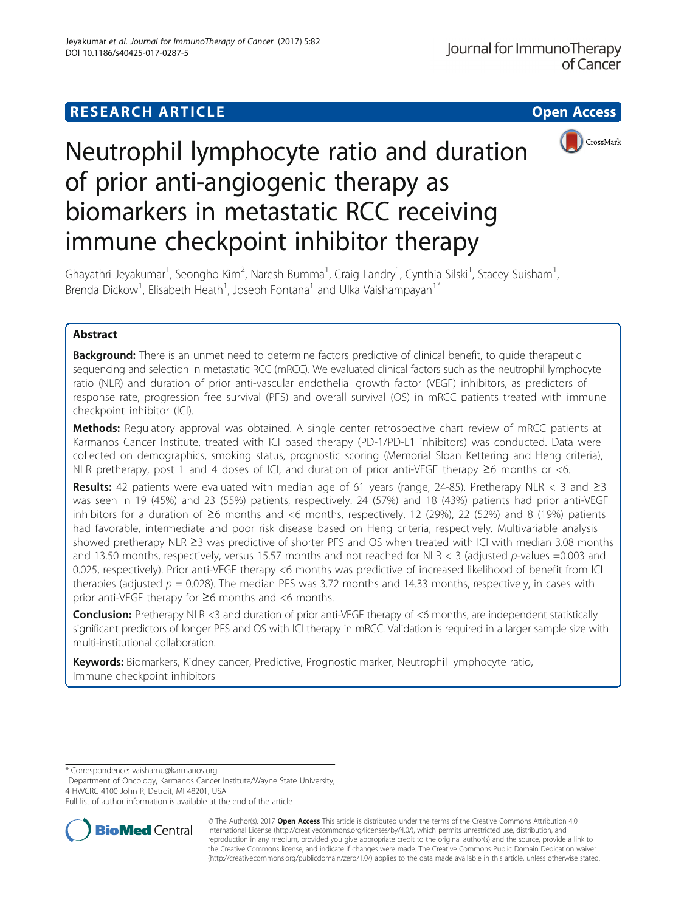## **RESEARCH ARTICLE Example 2014 12:30 The Contract of Contract Contract Contract Contract Contract Contract Contract Contract Contract Contract Contract Contract Contract Contract Contract Contract Contract Contract Contr**



# Neutrophil lymphocyte ratio and duration of prior anti-angiogenic therapy as biomarkers in metastatic RCC receiving immune checkpoint inhibitor therapy

Ghayathri Jeyakumar<sup>1</sup>, Seongho Kim<sup>2</sup>, Naresh Bumma<sup>1</sup>, Craig Landry<sup>1</sup>, Cynthia Silski<sup>1</sup>, Stacey Suisham<sup>1</sup> , Brenda Dickow<sup>1</sup>, Elisabeth Heath<sup>1</sup>, Joseph Fontana<sup>1</sup> and Ulka Vaishampayan<sup>1\*</sup>

## Abstract

**Background:** There is an unmet need to determine factors predictive of clinical benefit, to quide therapeutic sequencing and selection in metastatic RCC (mRCC). We evaluated clinical factors such as the neutrophil lymphocyte ratio (NLR) and duration of prior anti-vascular endothelial growth factor (VEGF) inhibitors, as predictors of response rate, progression free survival (PFS) and overall survival (OS) in mRCC patients treated with immune checkpoint inhibitor (ICI).

Methods: Regulatory approval was obtained. A single center retrospective chart review of mRCC patients at Karmanos Cancer Institute, treated with ICI based therapy (PD-1/PD-L1 inhibitors) was conducted. Data were collected on demographics, smoking status, prognostic scoring (Memorial Sloan Kettering and Heng criteria), NLR pretherapy, post 1 and 4 doses of ICI, and duration of prior anti-VEGF therapy  $\geq 6$  months or <6.

Results: 42 patients were evaluated with median age of 61 years (range, 24-85). Pretherapy NLR < 3 and  $\geq$ 3 was seen in 19 (45%) and 23 (55%) patients, respectively. 24 (57%) and 18 (43%) patients had prior anti-VEGF inhibitors for a duration of ≥6 months and <6 months, respectively. 12 (29%), 22 (52%) and 8 (19%) patients had favorable, intermediate and poor risk disease based on Heng criteria, respectively. Multivariable analysis showed pretherapy NLR ≥3 was predictive of shorter PFS and OS when treated with ICI with median 3.08 months and 13.50 months, respectively, versus 15.57 months and not reached for NLR < 3 (adjusted p-values =0.003 and 0.025, respectively). Prior anti-VEGF therapy <6 months was predictive of increased likelihood of benefit from ICI therapies (adjusted  $p = 0.028$ ). The median PFS was 3.72 months and 14.33 months, respectively, in cases with prior anti-VEGF therapy for ≥6 months and <6 months.

Conclusion: Pretherapy NLR <3 and duration of prior anti-VEGF therapy of <6 months, are independent statistically significant predictors of longer PFS and OS with ICI therapy in mRCC. Validation is required in a larger sample size with multi-institutional collaboration.

Keywords: Biomarkers, Kidney cancer, Predictive, Prognostic marker, Neutrophil lymphocyte ratio, Immune checkpoint inhibitors

\* Correspondence: [vaishamu@karmanos.org](mailto:vaishamu@karmanos.org) <sup>1</sup>

<sup>1</sup>Department of Oncology, Karmanos Cancer Institute/Wayne State University, 4 HWCRC 4100 John R, Detroit, MI 48201, USA

Full list of author information is available at the end of the article



© The Author(s). 2017 **Open Access** This article is distributed under the terms of the Creative Commons Attribution 4.0 International License [\(http://creativecommons.org/licenses/by/4.0/](http://creativecommons.org/licenses/by/4.0/)), which permits unrestricted use, distribution, and reproduction in any medium, provided you give appropriate credit to the original author(s) and the source, provide a link to the Creative Commons license, and indicate if changes were made. The Creative Commons Public Domain Dedication waiver [\(http://creativecommons.org/publicdomain/zero/1.0/](http://creativecommons.org/publicdomain/zero/1.0/)) applies to the data made available in this article, unless otherwise stated.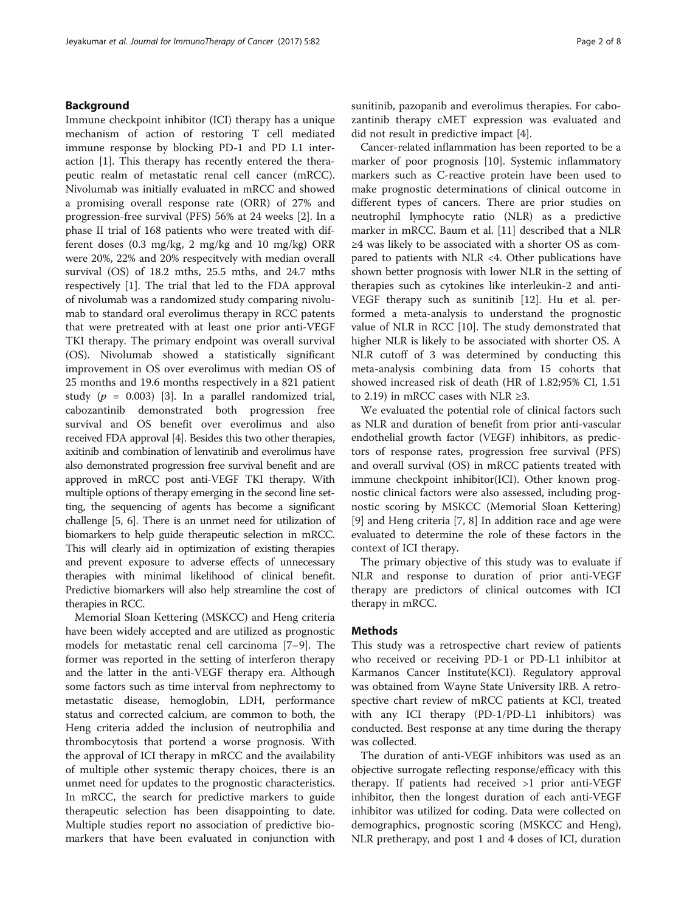## Background

Immune checkpoint inhibitor (ICI) therapy has a unique mechanism of action of restoring T cell mediated immune response by blocking PD-1 and PD L1 interaction [[1\]](#page-7-0). This therapy has recently entered the therapeutic realm of metastatic renal cell cancer (mRCC). Nivolumab was initially evaluated in mRCC and showed a promising overall response rate (ORR) of 27% and progression-free survival (PFS) 56% at 24 weeks [[2\]](#page-7-0). In a phase II trial of 168 patients who were treated with different doses (0.3 mg/kg, 2 mg/kg and 10 mg/kg) ORR were 20%, 22% and 20% respecitvely with median overall survival (OS) of 18.2 mths, 25.5 mths, and 24.7 mths respectively [[1](#page-7-0)]. The trial that led to the FDA approval of nivolumab was a randomized study comparing nivolumab to standard oral everolimus therapy in RCC patents that were pretreated with at least one prior anti-VEGF TKI therapy. The primary endpoint was overall survival (OS). Nivolumab showed a statistically significant improvement in OS over everolimus with median OS of 25 months and 19.6 months respectively in a 821 patient study ( $p = 0.003$ ) [[3\]](#page-7-0). In a parallel randomized trial, cabozantinib demonstrated both progression free survival and OS benefit over everolimus and also received FDA approval [\[4\]](#page-7-0). Besides this two other therapies, axitinib and combination of lenvatinib and everolimus have also demonstrated progression free survival benefit and are approved in mRCC post anti-VEGF TKI therapy. With multiple options of therapy emerging in the second line setting, the sequencing of agents has become a significant challenge [\[5, 6\]](#page-7-0). There is an unmet need for utilization of biomarkers to help guide therapeutic selection in mRCC. This will clearly aid in optimization of existing therapies and prevent exposure to adverse effects of unnecessary therapies with minimal likelihood of clinical benefit. Predictive biomarkers will also help streamline the cost of therapies in RCC.

Memorial Sloan Kettering (MSKCC) and Heng criteria have been widely accepted and are utilized as prognostic models for metastatic renal cell carcinoma [\[7](#page-7-0)–[9](#page-7-0)]. The former was reported in the setting of interferon therapy and the latter in the anti-VEGF therapy era. Although some factors such as time interval from nephrectomy to metastatic disease, hemoglobin, LDH, performance status and corrected calcium, are common to both, the Heng criteria added the inclusion of neutrophilia and thrombocytosis that portend a worse prognosis. With the approval of ICI therapy in mRCC and the availability of multiple other systemic therapy choices, there is an unmet need for updates to the prognostic characteristics. In mRCC, the search for predictive markers to guide therapeutic selection has been disappointing to date. Multiple studies report no association of predictive biomarkers that have been evaluated in conjunction with sunitinib, pazopanib and everolimus therapies. For cabozantinib therapy cMET expression was evaluated and did not result in predictive impact [\[4\]](#page-7-0).

Cancer-related inflammation has been reported to be a marker of poor prognosis [[10\]](#page-7-0). Systemic inflammatory markers such as C-reactive protein have been used to make prognostic determinations of clinical outcome in different types of cancers. There are prior studies on neutrophil lymphocyte ratio (NLR) as a predictive marker in mRCC. Baum et al. [[11](#page-7-0)] described that a NLR ≥4 was likely to be associated with a shorter OS as compared to patients with NLR <4. Other publications have shown better prognosis with lower NLR in the setting of therapies such as cytokines like interleukin-2 and anti-VEGF therapy such as sunitinib [[12](#page-7-0)]. Hu et al. performed a meta-analysis to understand the prognostic value of NLR in RCC [[10\]](#page-7-0). The study demonstrated that higher NLR is likely to be associated with shorter OS. A NLR cutoff of 3 was determined by conducting this meta-analysis combining data from 15 cohorts that showed increased risk of death (HR of 1.82;95% CI, 1.51 to 2.19) in mRCC cases with NLR  $\geq$ 3.

We evaluated the potential role of clinical factors such as NLR and duration of benefit from prior anti-vascular endothelial growth factor (VEGF) inhibitors, as predictors of response rates, progression free survival (PFS) and overall survival (OS) in mRCC patients treated with immune checkpoint inhibitor(ICI). Other known prognostic clinical factors were also assessed, including prognostic scoring by MSKCC (Memorial Sloan Kettering) [[9\]](#page-7-0) and Heng criteria [\[7](#page-7-0), [8](#page-7-0)] In addition race and age were evaluated to determine the role of these factors in the context of ICI therapy.

The primary objective of this study was to evaluate if NLR and response to duration of prior anti-VEGF therapy are predictors of clinical outcomes with ICI therapy in mRCC.

#### Methods

This study was a retrospective chart review of patients who received or receiving PD-1 or PD-L1 inhibitor at Karmanos Cancer Institute(KCI). Regulatory approval was obtained from Wayne State University IRB. A retrospective chart review of mRCC patients at KCI, treated with any ICI therapy (PD-1/PD-L1 inhibitors) was conducted. Best response at any time during the therapy was collected.

The duration of anti-VEGF inhibitors was used as an objective surrogate reflecting response/efficacy with this therapy. If patients had received >1 prior anti-VEGF inhibitor, then the longest duration of each anti-VEGF inhibitor was utilized for coding. Data were collected on demographics, prognostic scoring (MSKCC and Heng), NLR pretherapy, and post 1 and 4 doses of ICI, duration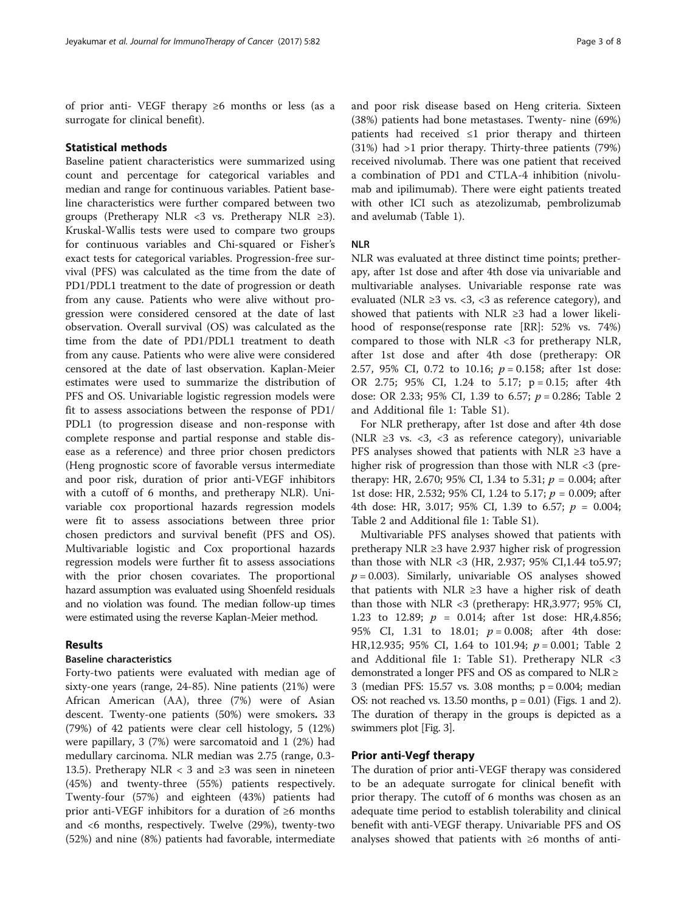of prior anti- VEGF therapy ≥6 months or less (as a surrogate for clinical benefit).

## Statistical methods

Baseline patient characteristics were summarized using count and percentage for categorical variables and median and range for continuous variables. Patient baseline characteristics were further compared between two groups (Pretherapy NLR <3 vs. Pretherapy NLR  $\geq 3$ ). Kruskal-Wallis tests were used to compare two groups for continuous variables and Chi-squared or Fisher's exact tests for categorical variables. Progression-free survival (PFS) was calculated as the time from the date of PD1/PDL1 treatment to the date of progression or death from any cause. Patients who were alive without progression were considered censored at the date of last observation. Overall survival (OS) was calculated as the time from the date of PD1/PDL1 treatment to death from any cause. Patients who were alive were considered censored at the date of last observation. Kaplan-Meier estimates were used to summarize the distribution of PFS and OS. Univariable logistic regression models were fit to assess associations between the response of PD1/ PDL1 (to progression disease and non-response with complete response and partial response and stable disease as a reference) and three prior chosen predictors (Heng prognostic score of favorable versus intermediate and poor risk, duration of prior anti-VEGF inhibitors with a cutoff of 6 months, and pretherapy NLR). Univariable cox proportional hazards regression models were fit to assess associations between three prior chosen predictors and survival benefit (PFS and OS). Multivariable logistic and Cox proportional hazards regression models were further fit to assess associations with the prior chosen covariates. The proportional hazard assumption was evaluated using Shoenfeld residuals and no violation was found. The median follow-up times were estimated using the reverse Kaplan-Meier method.

## Results

## Baseline characteristics

Forty-two patients were evaluated with median age of sixty-one years (range, 24-85). Nine patients (21%) were African American (AA), three (7%) were of Asian descent. Twenty-one patients (50%) were smokers. 33 (79%) of 42 patients were clear cell histology, 5 (12%) were papillary, 3 (7%) were sarcomatoid and 1 (2%) had medullary carcinoma. NLR median was 2.75 (range, 0.3- 13.5). Pretherapy NLR < 3 and  $\geq$ 3 was seen in nineteen (45%) and twenty-three (55%) patients respectively. Twenty-four (57%) and eighteen (43%) patients had prior anti-VEGF inhibitors for a duration of ≥6 months and <6 months, respectively. Twelve (29%), twenty-two (52%) and nine (8%) patients had favorable, intermediate and poor risk disease based on Heng criteria. Sixteen (38%) patients had bone metastases. Twenty- nine (69%) patients had received ≤1 prior therapy and thirteen (31%) had >1 prior therapy. Thirty-three patients (79%) received nivolumab. There was one patient that received a combination of PD1 and CTLA-4 inhibition (nivolumab and ipilimumab). There were eight patients treated with other ICI such as atezolizumab, pembrolizumab and avelumab (Table [1\)](#page-3-0).

#### NLR

NLR was evaluated at three distinct time points; pretherapy, after 1st dose and after 4th dose via univariable and multivariable analyses. Univariable response rate was evaluated (NLR  $\geq$ 3 vs. <3, <3 as reference category), and showed that patients with NLR ≥3 had a lower likelihood of response(response rate [RR]: 52% vs. 74%) compared to those with NLR <3 for pretherapy NLR, after 1st dose and after 4th dose (pretherapy: OR 2.57, 95% CI, 0.72 to 10.16;  $p = 0.158$ ; after 1st dose: OR 2.75; 95% CI, 1.24 to 5.17; p = 0.15; after 4th dose: OR [2](#page-4-0).33; 95% CI, 1.39 to 6.57;  $p = 0.286$ ; Table 2 and Additional file [1:](#page-6-0) Table S1).

For NLR pretherapy, after 1st dose and after 4th dose (NLR ≥3 vs. <3, <3 as reference category), univariable PFS analyses showed that patients with NLR ≥3 have a higher risk of progression than those with NLR <3 (pretherapy: HR, 2.670; 95% CI, 1.34 to 5.31;  $p = 0.004$ ; after 1st dose: HR, 2.532; 95% CI, 1.24 to 5.17;  $p = 0.009$ ; after 4th dose: HR, 3.017; 95% CI, 1.39 to 6.57;  $p = 0.004$ ; Table [2](#page-4-0) and Additional file [1:](#page-6-0) Table S1).

Multivariable PFS analyses showed that patients with pretherapy NLR ≥3 have 2.937 higher risk of progression than those with NLR <3 (HR, 2.937; 95% CI,1.44 to5.97;  $p = 0.003$ ). Similarly, univariable OS analyses showed that patients with NLR  $\geq$ 3 have a higher risk of death than those with NLR  $<$ 3 (pretherapy: HR,3.977; 95% CI, 1.23 to 12.89;  $p = 0.014$ ; after 1st dose: HR,4.856; 95% CI, 1.31 to 18.01;  $p = 0.008$ ; after 4th dose: HR,12.935; 95% CI, 1.64 to 101.94;  $p = 0.001$ ; Table [2](#page-4-0) and Additional file [1](#page-6-0): Table S1). Pretherapy NLR <3 demonstrated a longer PFS and OS as compared to  $NLR \geq$ 3 (median PFS: 15.57 vs. 3.08 months; p = 0.004; median OS: not reached vs.  $13.50$  months,  $p = 0.01$ ) (Figs. [1](#page-4-0) and [2](#page-5-0)). The duration of therapy in the groups is depicted as a swimmers plot [Fig. [3](#page-5-0)].

### Prior anti-Vegf therapy

The duration of prior anti-VEGF therapy was considered to be an adequate surrogate for clinical benefit with prior therapy. The cutoff of 6 months was chosen as an adequate time period to establish tolerability and clinical benefit with anti-VEGF therapy. Univariable PFS and OS analyses showed that patients with ≥6 months of anti-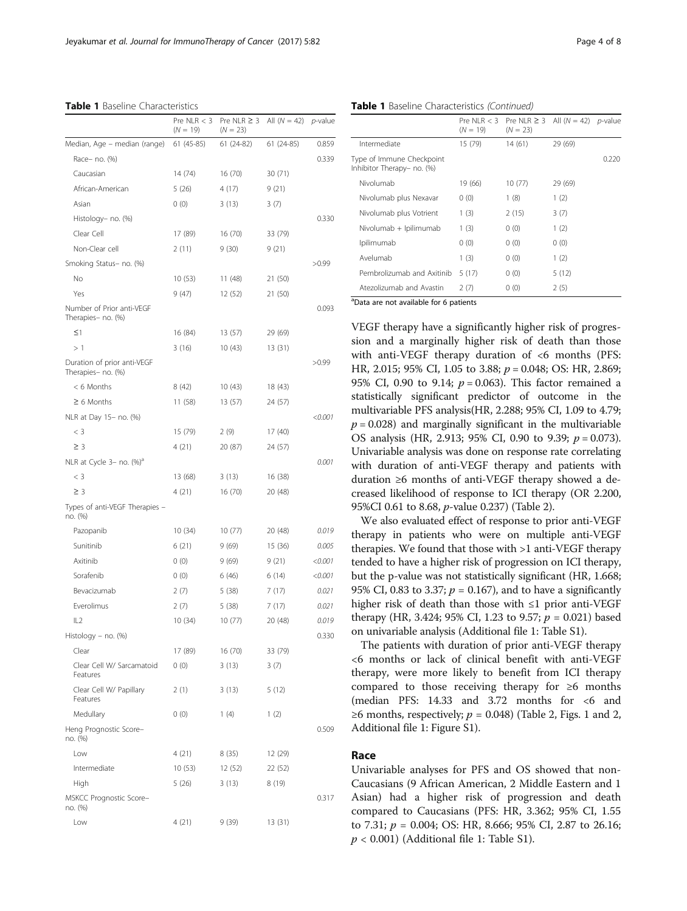<span id="page-3-0"></span>Table 1 Baseline Characteristics

|                                                   | Pre NLR $<$ 3<br>$(N = 19)$ | Pre NLR $\geq$ 3<br>$(N = 23)$ | All $(N = 42)$ | <i>p</i> -value |
|---------------------------------------------------|-----------------------------|--------------------------------|----------------|-----------------|
| Median, Age – median (range)                      | $61(45-85)$                 | 61 (24-82)                     | 61 (24-85)     | 0.859           |
| Race- no. (%)                                     |                             |                                |                | 0.339           |
| Caucasian                                         | 14 (74)                     | 16 (70)                        | 30 (71)        |                 |
| African-American                                  | 5(26)                       | 4(17)                          | 9(21)          |                 |
| Asian                                             | 0(0)                        | 3(13)                          | 3(7)           |                 |
| Histology– no. (%)                                |                             |                                |                | 0.330           |
| Clear Cell                                        | 17 (89)                     | 16(70)                         | 33 (79)        |                 |
| Non-Clear cell                                    | 2(11)                       | 9(30)                          | 9(21)          |                 |
| Smoking Status- no. (%)                           |                             |                                |                | >0.99           |
| No                                                | 10(53)                      | 11 (48)                        | 21 (50)        |                 |
| Yes                                               | 9(47)                       | 12 (52)                        | 21 (50)        |                 |
| Number of Prior anti-VEGF<br>Therapies- no. (%)   |                             |                                |                | 0.093           |
| $\leq$ 1                                          | 16 (84)                     | 13 (57)                        | 29 (69)        |                 |
| >1                                                | 3(16)                       | 10(43)                         | 13 (31)        |                 |
| Duration of prior anti-VEGF<br>Therapies- no. (%) |                             |                                |                | >0.99           |
| < 6 Months                                        | 8(42)                       | 10(43)                         | 18 (43)        |                 |
| $\geq 6$ Months                                   | 11 (58)                     | 13 (57)                        | 24 (57)        |                 |
| NLR at Day 15- no. (%)                            |                             |                                |                | < 0.001         |
| $<$ 3                                             | 15 (79)                     | 2(9)                           | 17 (40)        |                 |
| $\geq$ 3                                          | 4 (21)                      | 20 (87)                        | 24 (57)        |                 |
| NLR at Cycle 3– no. (%) <sup>a</sup>              |                             |                                |                | 0.001           |
| $<$ 3                                             | 13 (68)                     | 3(13)                          | 16 (38)        |                 |
| $\geq$ 3                                          | 4(21)                       | 16(70)                         | 20 (48)        |                 |
| Types of anti-VEGF Therapies -<br>no. (%)         |                             |                                |                |                 |
| Pazopanib                                         | 10(34)                      | 10(77)                         | 20 (48)        | 0.019           |
| Sunitinib                                         | 6(21)                       | 9(69)                          | 15 (36)        | 0.005           |
| Axitinib                                          | 0(0)                        | 9(69)                          | 9(21)          | < 0.001         |
| Sorafenib                                         | 0(0)                        | 6(46)                          | 6 (14)         | < 0.001         |
| Bevacizumab                                       | 2(7)                        | 5 (38)                         | 7(17)          | 0.021           |
| Everolimus                                        | 2(7)                        | 5(38)                          | 7 (17)         | 0.021           |
| IL2                                               | 10(34)                      | 10(77)                         | 20 (48)        | 0.019           |
| Histology – no. (%)                               |                             |                                |                | 0.330           |
| Clear                                             | 17 (89)                     | 16 (70)                        | 33 (79)        |                 |
| Clear Cell W/ Sarcamatoid<br>Features             | 0(0)                        | 3(13)                          | 3(7)           |                 |
| Clear Cell W/ Papillary<br>Features               | 2(1)                        | 3 (13)                         | 5(12)          |                 |
| Medullary                                         | 0(0)                        | 1(4)                           | 1(2)           |                 |
| Heng Prognostic Score-<br>no. (%)                 |                             |                                |                | 0.509           |
| Low                                               | 4(21)                       | 8(35)                          | 12 (29)        |                 |
| Intermediate                                      | 10(53)                      | 12 (52)                        | 22 (52)        |                 |
| High                                              | 5(26)                       | 3(13)                          | 8(19)          |                 |
| <b>MSKCC Prognostic Score-</b><br>no. (%)         |                             |                                |                | 0.317           |
| Low                                               | 4 (21)                      | 9(39)                          | 13 (31)        |                 |

Table 1 Baseline Characteristics (Continued)

| $(N = 19)$ | $(N = 23)$                                             |         |                                                  |
|------------|--------------------------------------------------------|---------|--------------------------------------------------|
| 15 (79)    | 14(61)                                                 | 29 (69) |                                                  |
|            |                                                        |         | 0.220                                            |
| 19 (66)    | 10(77)                                                 | 29 (69) |                                                  |
| 0(0)       | 1(8)                                                   | 1(2)    |                                                  |
| 1(3)       | 2 (15)                                                 | 3(7)    |                                                  |
| 1(3)       | 0(0)                                                   | 1(2)    |                                                  |
| 0(0)       | 0(0)                                                   | 0(0)    |                                                  |
| 1(3)       | 0(0)                                                   | 1(2)    |                                                  |
| 5(17)      | 0(0)                                                   | 5(12)   |                                                  |
| 2(7)       | 0(0)                                                   | 2(5)    |                                                  |
|            | $\partial$ Data are not available for $\zeta$ nationts |         | Pre NLR < 3 Pre NLR $\ge$ 3 All (N = 42) p-value |

<sup>a</sup>Data are not available for 6 patients

VEGF therapy have a significantly higher risk of progression and a marginally higher risk of death than those with anti-VEGF therapy duration of <6 months (PFS: HR, 2.015; 95% CI, 1.05 to 3.88; p = 0.048; OS: HR, 2.869; 95% CI, 0.90 to 9.14;  $p = 0.063$ ). This factor remained a statistically significant predictor of outcome in the multivariable PFS analysis(HR, 2.288; 95% CI, 1.09 to 4.79;  $p = 0.028$ ) and marginally significant in the multivariable OS analysis (HR, 2.913; 95% CI, 0.90 to 9.39;  $p = 0.073$ ). Univariable analysis was done on response rate correlating with duration of anti-VEGF therapy and patients with duration ≥6 months of anti-VEGF therapy showed a decreased likelihood of response to ICI therapy (OR 2.200, 95%CI 0.61 to 8.68, p-value 0.237) (Table [2\)](#page-4-0).

We also evaluated effect of response to prior anti-VEGF therapy in patients who were on multiple anti-VEGF therapies. We found that those with >1 anti-VEGF therapy tended to have a higher risk of progression on ICI therapy, but the p-value was not statistically significant (HR, 1.668; 95% CI, 0.83 to 3.37;  $p = 0.167$ ), and to have a significantly higher risk of death than those with ≤1 prior anti-VEGF therapy (HR, 3.424; 95% CI, 1.23 to 9.57;  $p = 0.021$ ) based on univariable analysis (Additional file [1](#page-6-0): Table S1).

The patients with duration of prior anti-VEGF therapy <6 months or lack of clinical benefit with anti-VEGF therapy, were more likely to benefit from ICI therapy compared to those receiving therapy for ≥6 months (median PFS: 14.33 and 3.72 months for <6 and ≥6 months, respectively;  $p = 0.048$ ) (Table [2,](#page-4-0) Figs. [1](#page-4-0) and [2](#page-5-0), Additional file [1](#page-6-0): Figure S1).

#### Race

Univariable analyses for PFS and OS showed that non-Caucasians (9 African American, 2 Middle Eastern and 1 Asian) had a higher risk of progression and death compared to Caucasians (PFS: HR, 3.362; 95% CI, 1.55 to 7.31;  $p = 0.004$ ; OS: HR, 8.666; 95% CI, 2.87 to 26.16;  $p < 0.001$ ) (Additional file [1](#page-6-0): Table S1).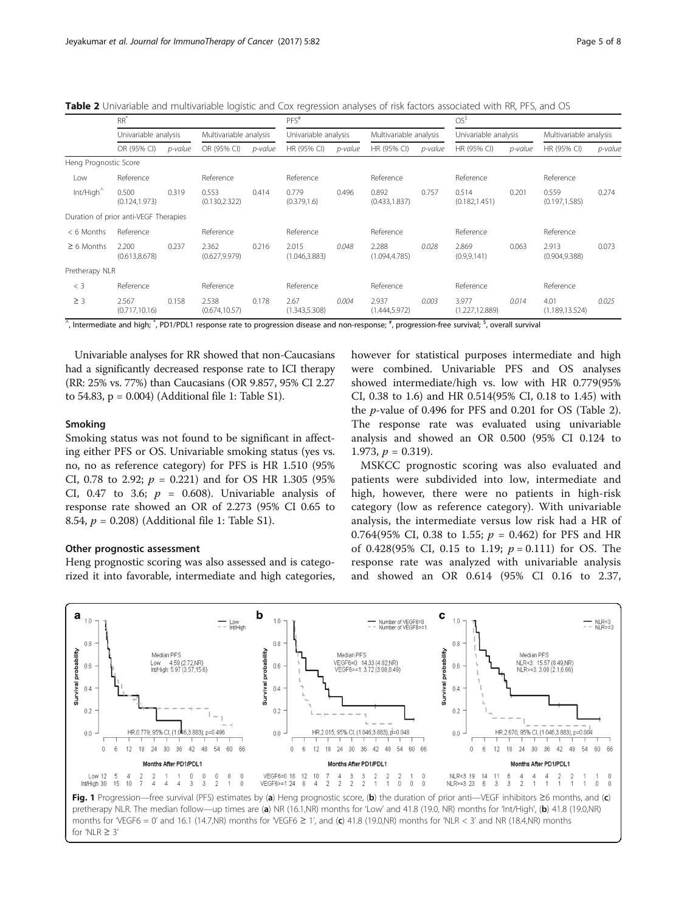<span id="page-4-0"></span>Table 2 Univariable and multivariable logistic and Cox regression analyses of risk factors associated with RR, PFS, and OS

|                       | $RR^*$                                |         |                         |         | $PFS$ #                 |         |                         | OS <sup>5</sup> |                          |         |                         |         |
|-----------------------|---------------------------------------|---------|-------------------------|---------|-------------------------|---------|-------------------------|-----------------|--------------------------|---------|-------------------------|---------|
|                       | Univariable analysis                  |         | Multivariable analysis  |         | Univariable analysis    |         | Multivariable analysis  |                 | Univariable analysis     |         | Multivariable analysis  |         |
|                       | OR (95% CI)                           | p-value | OR (95% CI)             | p-value | HR (95% CI)             | p-value | HR (95% CI)             | p-value         | HR (95% CI)              | p-value | HR (95% CI)             | p-value |
| Heng Prognostic Score |                                       |         |                         |         |                         |         |                         |                 |                          |         |                         |         |
| Low                   | Reference                             |         | Reference               |         | Reference               |         | Reference               |                 | Reference                |         | Reference               |         |
| $Int/High^{\wedge}$   | 0.500<br>(0.124, 1.973)               | 0.319   | 0.553<br>(0.130, 2.322) | 0.414   | 0.779<br>(0.379, 1.6)   | 0.496   | 0.892<br>(0.433, 1.837) | 0.757           | 0.514<br>(0.182, 1.451)  | 0.201   | 0.559<br>(0.197, 1.585) | 0.274   |
|                       | Duration of prior anti-VEGF Therapies |         |                         |         |                         |         |                         |                 |                          |         |                         |         |
| $< 6$ Months          | Reference                             |         | Reference               |         | Reference               |         | Reference               |                 | Reference                |         | Reference               |         |
| $\geq 6$ Months       | 2.200<br>(0.613, 8.678)               | 0.237   | 2.362<br>(0.627, 9.979) | 0.216   | 2.015<br>(1.046, 3.883) | 0.048   | 2.288<br>(1.094, 4.785) | 0.028           | 2.869<br>(0.9, 9.141)    | 0.063   | 2.913<br>(0.904, 9.388) | 0.073   |
| Pretherapy NLR        |                                       |         |                         |         |                         |         |                         |                 |                          |         |                         |         |
| $<$ 3                 | Reference                             |         | Reference               |         | Reference               |         | Reference               |                 | Reference                |         | Reference               |         |
| $\geq$ 3              | 2.567<br>(0.717, 10.16)               | 0.158   | 2.538<br>(0.674, 10.57) | 0.178   | 2.67<br>(1.343, 5.308)  | 0.004   | 2.937<br>(1.444, 5.972) | 0.003           | 3.977<br>(1.227, 12.889) | 0.014   | 4.01<br>(1.189, 13.524) | 0.025   |

 $^\wedge$ , Intermediate and high;  $^*$ , PD1/PDL1 response rate to progression disease and non-response;  $^*$ , progression-free survival;  $^{\mathsf{S}},$  overall survival

Univariable analyses for RR showed that non-Caucasians had a significantly decreased response rate to ICI therapy (RR: 25% vs. 77%) than Caucasians (OR 9.857, 95% CI 2.27 to 54.83, p = 0.004) (Additional file [1](#page-6-0): Table S1).

#### Smoking

Smoking status was not found to be significant in affecting either PFS or OS. Univariable smoking status (yes vs. no, no as reference category) for PFS is HR 1.510 (95% CI, 0.78 to 2.92;  $p = 0.221$  and for OS HR 1.305 (95%) CI, 0.47 to 3.6;  $p = 0.608$ ). Univariable analysis of response rate showed an OR of 2.273 (95% CI 0.65 to 8.54,  $p = 0.208$ ) (Additional file [1:](#page-6-0) Table S1).

### Other prognostic assessment

Heng prognostic scoring was also assessed and is categorized it into favorable, intermediate and high categories, however for statistical purposes intermediate and high were combined. Univariable PFS and OS analyses showed intermediate/high vs. low with HR 0.779(95% CI, 0.38 to 1.6) and HR 0.514(95% CI, 0.18 to 1.45) with the p-value of 0.496 for PFS and 0.201 for OS (Table 2). The response rate was evaluated using univariable analysis and showed an OR 0.500 (95% CI 0.124 to 1.973,  $p = 0.319$ ).

MSKCC prognostic scoring was also evaluated and patients were subdivided into low, intermediate and high, however, there were no patients in high-risk category (low as reference category). With univariable analysis, the intermediate versus low risk had a HR of 0.764(95% CI, 0.38 to 1.55;  $p = 0.462$ ) for PFS and HR of 0.428(95% CI, 0.15 to 1.19;  $p = 0.111$ ) for OS. The response rate was analyzed with univariable analysis and showed an OR 0.614 (95% CI 0.16 to 2.37,

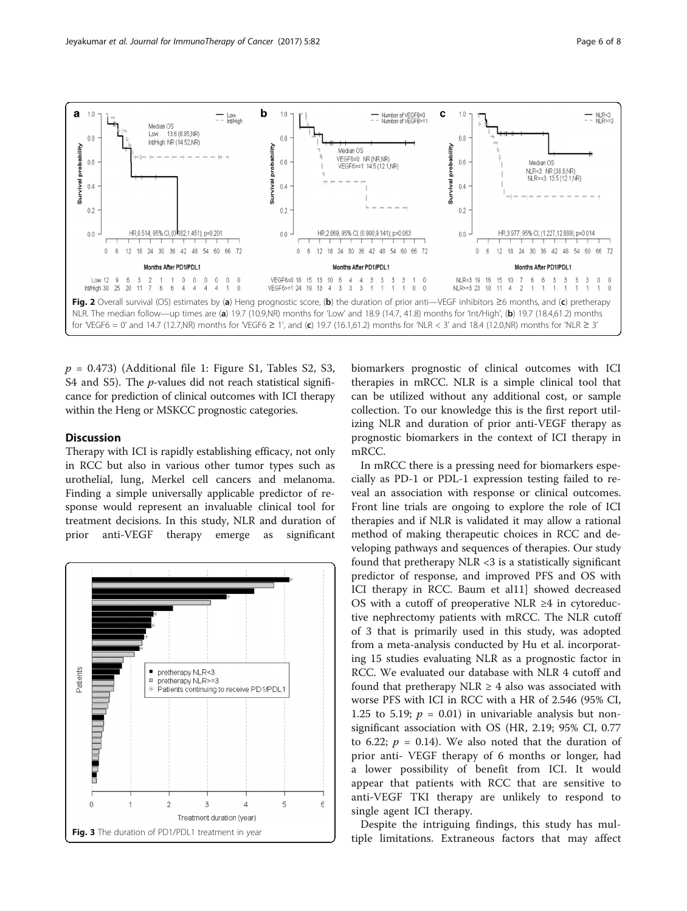<span id="page-5-0"></span>

 $p = 0.473$ ) (Additional file [1:](#page-6-0) Figure S1, Tables S2, S3, S4 and S5). The *p*-values did not reach statistical significance for prediction of clinical outcomes with ICI therapy within the Heng or MSKCC prognostic categories.

## **Discussion**

Therapy with ICI is rapidly establishing efficacy, not only in RCC but also in various other tumor types such as urothelial, lung, Merkel cell cancers and melanoma. Finding a simple universally applicable predictor of response would represent an invaluable clinical tool for treatment decisions. In this study, NLR and duration of prior anti-VEGF therapy emerge as significant

![](_page_5_Figure_6.jpeg)

biomarkers prognostic of clinical outcomes with ICI therapies in mRCC. NLR is a simple clinical tool that can be utilized without any additional cost, or sample collection. To our knowledge this is the first report utilizing NLR and duration of prior anti-VEGF therapy as prognostic biomarkers in the context of ICI therapy in mRCC.

In mRCC there is a pressing need for biomarkers especially as PD-1 or PDL-1 expression testing failed to reveal an association with response or clinical outcomes. Front line trials are ongoing to explore the role of ICI therapies and if NLR is validated it may allow a rational method of making therapeutic choices in RCC and developing pathways and sequences of therapies. Our study found that pretherapy  $NLR < 3$  is a statistically significant predictor of response, and improved PFS and OS with ICI therapy in RCC. Baum et al11] showed decreased OS with a cutoff of preoperative NLR  $\geq 4$  in cytoreductive nephrectomy patients with mRCC. The NLR cutoff of 3 that is primarily used in this study, was adopted from a meta-analysis conducted by Hu et al. incorporating 15 studies evaluating NLR as a prognostic factor in RCC. We evaluated our database with NLR 4 cutoff and found that pretherapy NLR  $\geq$  4 also was associated with worse PFS with ICI in RCC with a HR of 2.546 (95% CI, 1.25 to 5.19;  $p = 0.01$ ) in univariable analysis but nonsignificant association with OS (HR, 2.19; 95% CI, 0.77 to 6.22;  $p = 0.14$ ). We also noted that the duration of prior anti- VEGF therapy of 6 months or longer, had a lower possibility of benefit from ICI. It would appear that patients with RCC that are sensitive to anti-VEGF TKI therapy are unlikely to respond to single agent ICI therapy.

Despite the intriguing findings, this study has multiple limitations. Extraneous factors that may affect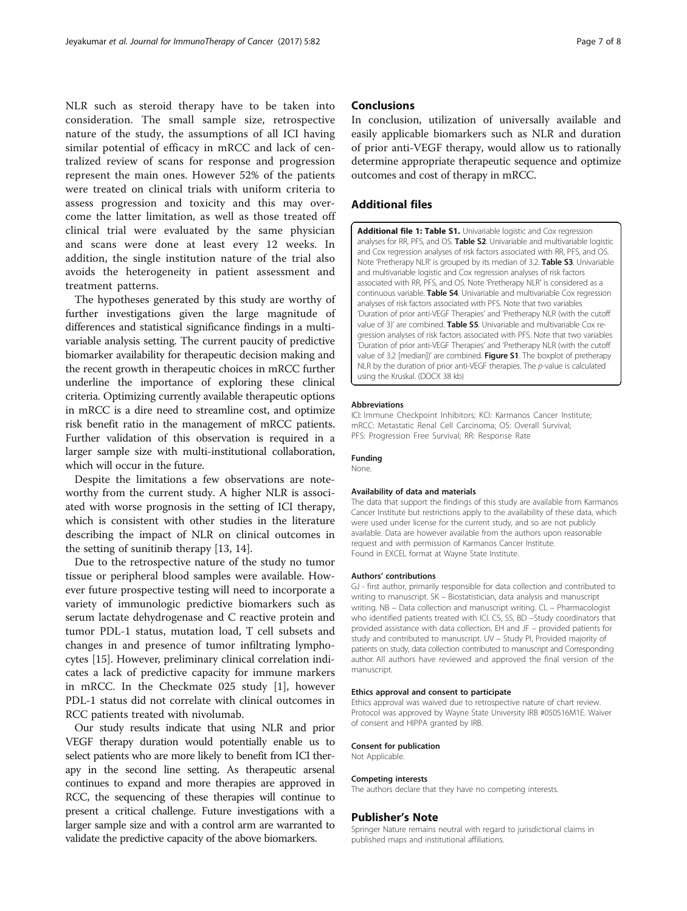<span id="page-6-0"></span>NLR such as steroid therapy have to be taken into consideration. The small sample size, retrospective nature of the study, the assumptions of all ICI having similar potential of efficacy in mRCC and lack of centralized review of scans for response and progression represent the main ones. However 52% of the patients were treated on clinical trials with uniform criteria to assess progression and toxicity and this may overcome the latter limitation, as well as those treated off clinical trial were evaluated by the same physician and scans were done at least every 12 weeks. In addition, the single institution nature of the trial also avoids the heterogeneity in patient assessment and treatment patterns.

The hypotheses generated by this study are worthy of further investigations given the large magnitude of differences and statistical significance findings in a multivariable analysis setting. The current paucity of predictive biomarker availability for therapeutic decision making and the recent growth in therapeutic choices in mRCC further underline the importance of exploring these clinical criteria. Optimizing currently available therapeutic options in mRCC is a dire need to streamline cost, and optimize risk benefit ratio in the management of mRCC patients. Further validation of this observation is required in a larger sample size with multi-institutional collaboration, which will occur in the future.

Despite the limitations a few observations are noteworthy from the current study. A higher NLR is associated with worse prognosis in the setting of ICI therapy, which is consistent with other studies in the literature describing the impact of NLR on clinical outcomes in the setting of sunitinib therapy [\[13, 14\]](#page-7-0).

Due to the retrospective nature of the study no tumor tissue or peripheral blood samples were available. However future prospective testing will need to incorporate a variety of immunologic predictive biomarkers such as serum lactate dehydrogenase and C reactive protein and tumor PDL-1 status, mutation load, T cell subsets and changes in and presence of tumor infiltrating lymphocytes [[15\]](#page-7-0). However, preliminary clinical correlation indicates a lack of predictive capacity for immune markers in mRCC. In the Checkmate 025 study [\[1](#page-7-0)], however PDL-1 status did not correlate with clinical outcomes in RCC patients treated with nivolumab.

Our study results indicate that using NLR and prior VEGF therapy duration would potentially enable us to select patients who are more likely to benefit from ICI therapy in the second line setting. As therapeutic arsenal continues to expand and more therapies are approved in RCC, the sequencing of these therapies will continue to present a critical challenge. Future investigations with a larger sample size and with a control arm are warranted to validate the predictive capacity of the above biomarkers.

## **Conclusions**

In conclusion, utilization of universally available and easily applicable biomarkers such as NLR and duration of prior anti-VEGF therapy, would allow us to rationally determine appropriate therapeutic sequence and optimize outcomes and cost of therapy in mRCC.

## Additional files

[Additional file 1: Table S1.](dx.doi.org/10.1186/s40425-017-0287-5) Univariable logistic and Cox regression analyses for RR, PFS, and OS. Table S2. Univariable and multivariable logistic and Cox regression analyses of risk factors associated with RR, PFS, and OS. Note 'Pretherapy NLR' is grouped by its median of 3.2. Table S3. Univariable and multivariable logistic and Cox regression analyses of risk factors associated with RR, PFS, and OS. Note 'Pretherapy NLR' is considered as a continuous variable. Table S4. Univariable and multivariable Cox regression analyses of risk factors associated with PFS. Note that two variables 'Duration of prior anti-VEGF Therapies' and 'Pretherapy NLR (with the cutoff value of 3)' are combined. Table S5. Univariable and multivariable Cox regression analyses of risk factors associated with PFS. Note that two variables 'Duration of prior anti-VEGF Therapies' and 'Pretherapy NLR (with the cutoff value of 3.2 [median])' are combined. Figure S1. The boxplot of pretherapy NLR by the duration of prior anti-VEGF therapies. The p-value is calculated using the Kruskal. (DOCX 38 kb)

#### Abbreviations

ICI: Immune Checkpoint Inhibitors; KCI: Karmanos Cancer Institute; mRCC: Metastatic Renal Cell Carcinoma; OS: Overall Survival; PFS: Progression Free Survival; RR: Response Rate

#### Funding

None.

#### Availability of data and materials

The data that support the findings of this study are available from Karmanos Cancer Institute but restrictions apply to the availability of these data, which were used under license for the current study, and so are not publicly available. Data are however available from the authors upon reasonable request and with permission of Karmanos Cancer Institute. Found in EXCEL format at Wayne State Institute.

#### Authors' contributions

GJ - first author, primarily responsible for data collection and contributed to writing to manuscript. SK – Biostatistician, data analysis and manuscript writing. NB – Data collection and manuscript writing. CL – Pharmacologist who identified patients treated with ICI. CS, SS, BD –Study coordinators that provided assistance with data collection. EH and JF – provided patients for study and contributed to manuscript. UV – Study PI, Provided majority of patients on study, data collection contributed to manuscript and Corresponding author. All authors have reviewed and approved the final version of the manuscript.

#### Ethics approval and consent to participate

Ethics approval was waived due to retrospective nature of chart review. Protocol was approved by Wayne State University IRB #050516M1E. Waiver of consent and HIPPA granted by IRB.

#### Consent for publication

Not Applicable.

#### Competing interests

The authors declare that they have no competing interests.

#### Publisher's Note

Springer Nature remains neutral with regard to jurisdictional claims in published maps and institutional affiliations.